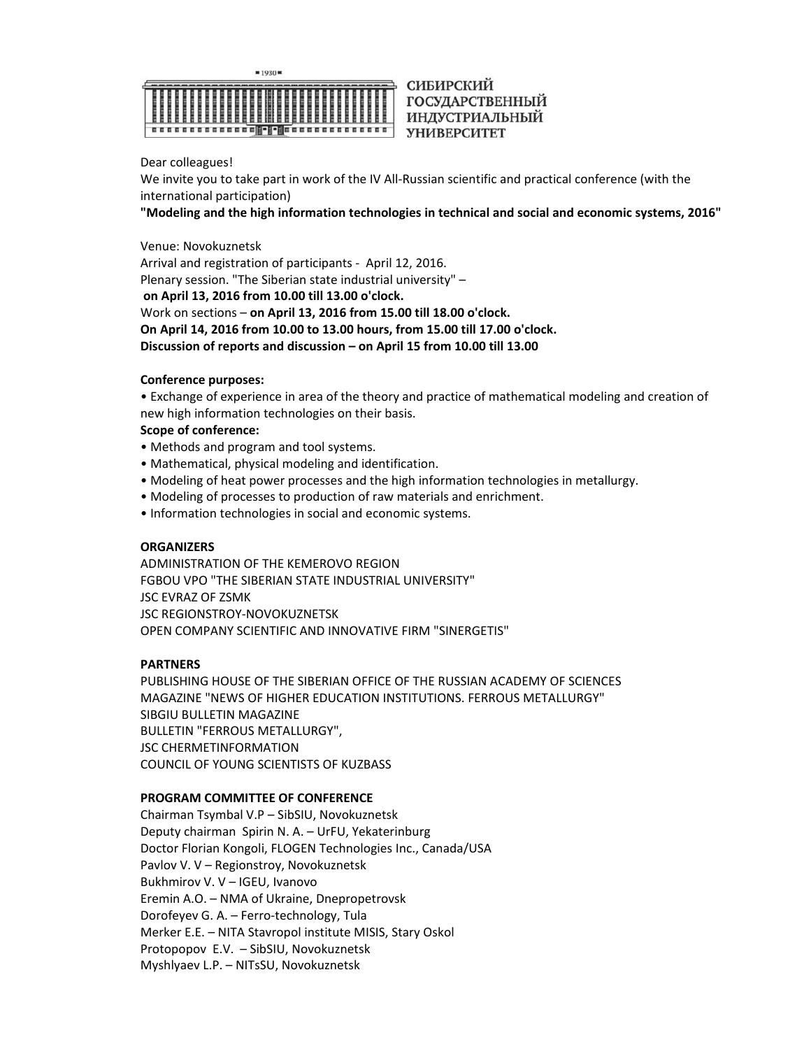

СИБИРСКИЙ **ГОСУДАРСТВЕННЫЙ** ИНДУСТРИАЛЬНЫЙ УНИВЕРСИТЕТ

Dear colleagues!

We invite you to take part in work of the IV All‐Russian scientific and practical conference (with the international participation)

**"Modeling and the high information technologies in technical and social and economic systems, 2016"** 

Venue: Novokuznetsk

Arrival and registration of participants ‐ April 12, 2016. Plenary session. "The Siberian state industrial university" –  **on April 13, 2016 from 10.00 till 13.00 o'clock.**  Work on sections – **on April 13, 2016 from 15.00 till 18.00 o'clock. On April 14, 2016 from 10.00 to 13.00 hours, from 15.00 till 17.00 o'clock. Discussion of reports and discussion – on April 15 from 10.00 till 13.00** 

## **Conference purposes:**

• Exchange of experience in area of the theory and practice of mathematical modeling and creation of new high information technologies on their basis.

## **Scope of conference:**

- Methods and program and tool systems.
- Mathematical, physical modeling and identification.
- Modeling of heat power processes and the high information technologies in metallurgy.
- Modeling of processes to production of raw materials and enrichment.
- Information technologies in social and economic systems.

## **ORGANIZERS**

ADMINISTRATION OF THE KEMEROVO REGION FGBOU VPO "THE SIBERIAN STATE INDUSTRIAL UNIVERSITY" JSC EVRAZ OF ZSMK JSC REGIONSTROY‐NOVOKUZNETSK OPEN COMPANY SCIENTIFIC AND INNOVATIVE FIRM "SINERGETIS"

## **PARTNERS**

PUBLISHING HOUSE OF THE SIBERIAN OFFICE OF THE RUSSIAN ACADEMY OF SCIENCES MAGAZINE "NEWS OF HIGHER EDUCATION INSTITUTIONS. FERROUS METALLURGY" SIBGIU BULLETIN MAGAZINE BULLETIN "FERROUS METALLURGY", JSC CHERMETINFORMATION COUNCIL OF YOUNG SCIENTISTS OF KUZBASS

### **PROGRAM COMMITTEE OF CONFERENCE**

Chairman Tsymbal V.P – SibSIU, Novokuznetsk Deputy chairman Spirin N. A. – UrFU, Yekaterinburg Doctor Florian Kongoli, FLOGEN Technologies Inc., Canada/USA Pavlov V. V – Regionstroy, Novokuznetsk Bukhmirov V. V – IGEU, Ivanovo Eremin A.O. – NMA of Ukraine, Dnepropetrovsk Dorofeyev G. A. – Ferro‐technology, Tula Merker E.E. – NITA Stavropol institute MISIS, Stary Oskol Protopopov E.V. – SibSIU, Novokuznetsk Myshlyaev L.P. – NITsSU, Novokuznetsk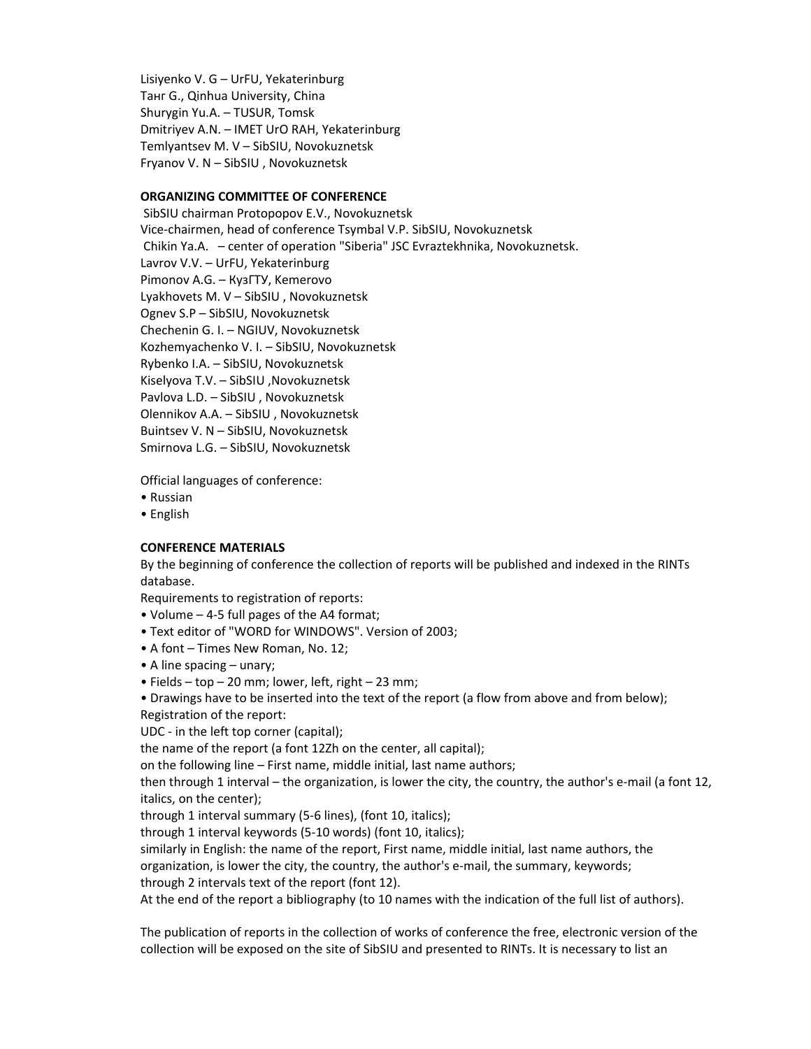Lisiyenko V. G – UrFU, Yekaterinburg Танг G., Qinhua University, China Shurygin Yu.A. – TUSUR, Tomsk Dmitriyev A.N. – IMET UrO RAH, Yekaterinburg Temlyantsev M. V – SibSIU, Novokuznetsk Fryanov V. N – SibSIU , Novokuznetsk

# **ORGANIZING COMMITTEE OF CONFERENCE**

 SibSIU chairman Protopopov E.V., Novokuznetsk Vice‐chairmen, head of conference Tsymbal V.P. SibSIU, Novokuznetsk Chikin Ya.A. – center of operation "Siberia" JSC Evraztekhnika, Novokuznetsk. Lavrov V.V. – UrFU, Yekaterinburg Pimonov A.G. – КузГТУ, Kemerovo Lyakhovets M. V – SibSIU , Novokuznetsk Ognev S.P – SibSIU, Novokuznetsk Chechenin G. I. – NGIUV, Novokuznetsk Kozhemyachenko V. I. – SibSIU, Novokuznetsk Rybenko I.A. – SibSIU, Novokuznetsk Kiselyova T.V. – SibSIU ,Novokuznetsk Pavlova L.D. – SibSIU , Novokuznetsk Olennikov A.A. – SibSIU , Novokuznetsk Buintsev V. N – SibSIU, Novokuznetsk Smirnova L.G. – SibSIU, Novokuznetsk

Official languages of conference:

- Russian
- English

## **CONFERENCE MATERIALS**

By the beginning of conference the collection of reports will be published and indexed in the RINTs database.

Requirements to registration of reports:

- Volume 4‐5 full pages of the A4 format;
- Text editor of "WORD for WINDOWS". Version of 2003;
- A font Times New Roman, No. 12;
- A line spacing unary;
- Fields top 20 mm; lower, left, right 23 mm;
- Drawings have to be inserted into the text of the report (a flow from above and from below); Registration of the report:

UDC ‐ in the left top corner (capital);

the name of the report (a font 12Zh on the center, all capital);

on the following line – First name, middle initial, last name authors;

then through 1 interval – the organization, is lower the city, the country, the author's e‐mail (a font 12, italics, on the center);

through 1 interval summary (5‐6 lines), (font 10, italics);

through 1 interval keywords (5‐10 words) (font 10, italics);

similarly in English: the name of the report, First name, middle initial, last name authors, the organization, is lower the city, the country, the author's e-mail, the summary, keywords;

through 2 intervals text of the report (font 12).

At the end of the report a bibliography (to 10 names with the indication of the full list of authors).

The publication of reports in the collection of works of conference the free, electronic version of the collection will be exposed on the site of SibSIU and presented to RINTs. It is necessary to list an